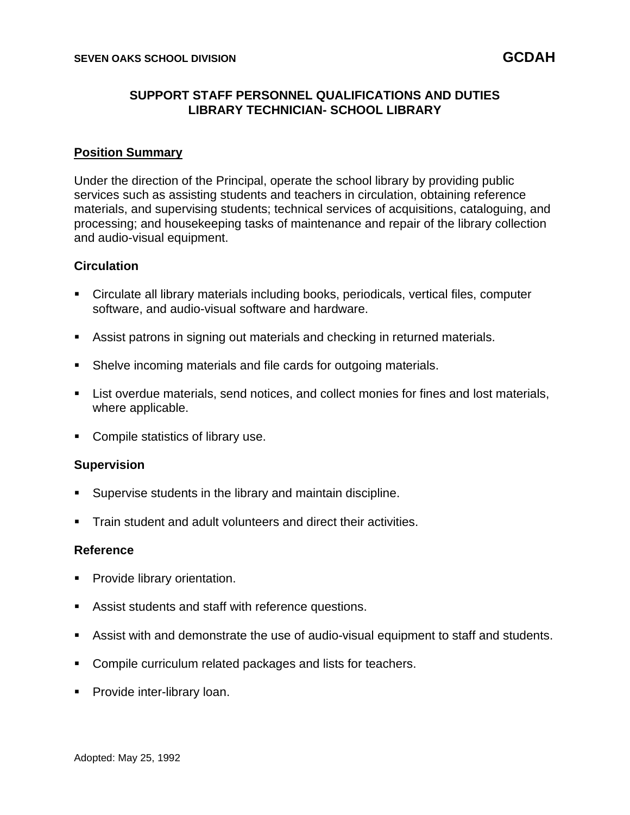# **SUPPORT STAFF PERSONNEL QUALIFICATIONS AND DUTIES LIBRARY TECHNICIAN- SCHOOL LIBRARY**

## **Position Summary**

Under the direction of the Principal, operate the school library by providing public services such as assisting students and teachers in circulation, obtaining reference materials, and supervising students; technical services of acquisitions, cataloguing, and processing; and housekeeping tasks of maintenance and repair of the library collection and audio-visual equipment.

## **Circulation**

- Circulate all library materials including books, periodicals, vertical files, computer software, and audio-visual software and hardware.
- **E** Assist patrons in signing out materials and checking in returned materials.
- Shelve incoming materials and file cards for outgoing materials.
- **EXECT List overdue materials, send notices, and collect monies for fines and lost materials,** where applicable.
- Compile statistics of library use.

### **Supervision**

- Supervise students in the library and maintain discipline.
- Train student and adult volunteers and direct their activities.

### **Reference**

- Provide library orientation.
- Assist students and staff with reference questions.
- Assist with and demonstrate the use of audio-visual equipment to staff and students.
- Compile curriculum related packages and lists for teachers.
- **•** Provide inter-library loan.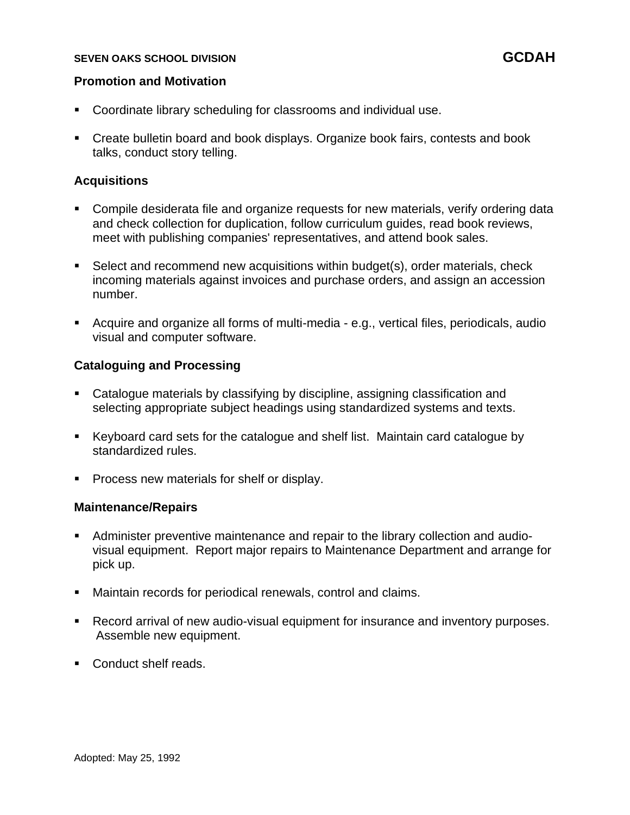## **SEVEN OAKS SCHOOL DIVISION GCDAH**

## **Promotion and Motivation**

- Coordinate library scheduling for classrooms and individual use.
- Create bulletin board and book displays. Organize book fairs, contests and book talks, conduct story telling.

## **Acquisitions**

- Compile desiderata file and organize requests for new materials, verify ordering data and check collection for duplication, follow curriculum guides, read book reviews, meet with publishing companies' representatives, and attend book sales.
- Select and recommend new acquisitions within budget(s), order materials, check incoming materials against invoices and purchase orders, and assign an accession number.
- Acquire and organize all forms of multi-media e.g., vertical files, periodicals, audio visual and computer software.

## **Cataloguing and Processing**

- Catalogue materials by classifying by discipline, assigning classification and selecting appropriate subject headings using standardized systems and texts.
- Keyboard card sets for the catalogue and shelf list. Maintain card catalogue by standardized rules.
- Process new materials for shelf or display.

### **Maintenance/Repairs**

- **EXED** Administer preventive maintenance and repair to the library collection and audiovisual equipment. Report major repairs to Maintenance Department and arrange for pick up.
- Maintain records for periodical renewals, control and claims.
- Record arrival of new audio-visual equipment for insurance and inventory purposes. Assemble new equipment.
- Conduct shelf reads.